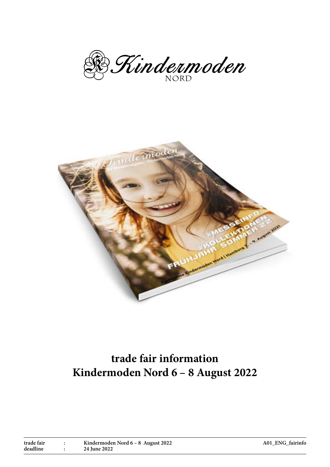B. Kindermoden



# **trade fair information Kindermoden Nord 6 – 8 August 2022**

| trade fair | Kindermoden Nord 6 – 8 August 2022 |
|------------|------------------------------------|
| deadline   | 24 June 2022                       |

**A01\_ENG\_fairinfo**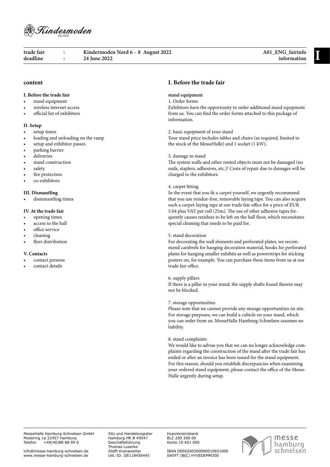

**information I trade fair : Kindermoden Nord 6 – 8 August 2022 deadline : 24 June 2022**

# **content**

# **I. Before the trade fair**

- stand equipment
- wireless internet access
- official list of exhibitors

#### **II. Setup**

- setup times
- loading and unloading on the ramp
- setup and exhibitor passes
- parking barrier
- deliveries
- stand construction
- safety
- fire protection
- co-exhibitors

## **III. Dismantling**

dismmantling times

#### **IV. At the trade fair**

- opening times
- access to the hall
- office service
- cleaning
- flyer distribution

#### **V. Contacts**

- contact persons
- contact details

# **I. Before the trade fair**

# **stand equipment**

# 1. Order forms

Exhibitors have the opportunity to order additional stand equipment from us. You can find the order forms attached to this package of information.

2. basic equipment of your stand

Your stand price includes tables and chairs (as required, limited to the stock of the MesseHalle) and 1 socket (1 kW).

#### 3. damage to stand

The system walls and other rented objects must not be damaged (no nails, staplers, adhesives, etc.)! Costs of repair due to damages will be charged to the exhibitors.

#### 4. carpet fitting

In the event that you fit a carpet yourself, we urgently recommend that you use residue-free, removable laying tape. You can also acquire such a carpet-laying tape at our trade fair office for a price of EUR 5.04 plus VAT per roll (25m). The use of other adhesive tapes frequently causes residues to be left on the hall floor, which necessitates special cleaning that needs to be paid for.

## 5. stand decoration

For decorating the wall elements and perforated plates, we recommend cambrels for hanging decoration material, hooks for perforated plates for hanging smaller exhibits as well as powerstrips for sticking posters on, for example. You can purchase these items from us at our trade fair office.

#### 6. supply pillars

If there is a pillar in your stand, the supply shafts found therein may not be blocked.

#### 7. storage opportunities

Please note that we cannot provide any storage opportunities on site. For storage purposes, we can build a cubicle on your stand, which you can order from us. MesseHalle Hamburg-Schnelsen assumes no liability.

#### 8. stand complaints

We would like to advise you that we can no longer acknowledge complaints regarding the construction of the stand after the trade fair has ended or after an invoice has been issued for the stand equipment. For this reason, should you establish discrepancies when examining your ordered stand equipment, please contact the office of the Messe-Halle urgently during setup.

Sitz und Handelsregister Hamburg HR B 49547 Geschäftsführung Thomas Luserke Steffi Kranawetter Ust.-ID: DE118456445

HypoVereinsbank BLZ 200 300 00 Konto 10 651 000

IBAN DE60200300000010651000 SWIFT (BIC) HYVEDEMM300

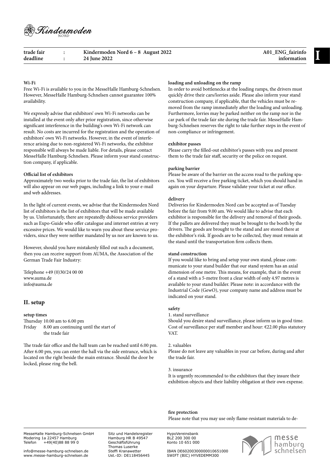

| trade fair | Kindermoden Nord $6 - 8$ August 2022 | A01 ENG fairinfo |
|------------|--------------------------------------|------------------|
| deadline   | 24 June 2022                         | information      |

# **Wi-Fi**

Free Wi-Fi is available to you in the MesseHalle Hamburg-Schnelsen. However, MesseHalle Hamburg-Schnelsen cannot guarantee 100% availability.

We expressly advise that exhibitors' own Wi-Fi networks can be installed at the event only after prior registration, since otherwise significant interference in the building's own Wi-Fi network can result. No costs are incurred for the registration and the operation of exhibitors' own Wi-Fi networks. However, in the event of interference arising due to non-registered Wi-Fi networks, the exhibitor responsible will always be made liable. For details, please contact MesseHalle Hamburg-Schnelsen. Please inform your stand construction company, if applicable.

#### **Official list of exhibitors**

Approximately two weeks prior to the trade fair, the list of exhibitors will also appear on our web pages, including a link to your e-mail and web addresses.

In the light of current events, we advise that the Kindermoden Nord list of exhibitors is the list of exhibitors that will be made available by us. Unfortunately, there are repeatedly dubious service providers such as Expo-Guide who offer catalogue and internet entries at very excessive prices. We would like to warn you about these service providers, since they were neither mandated by us nor are known to us.

However, should you have mistakenly filled out such a document, then you can receive support from AUMA, the Association of the German Trade Fair Industry:

Telephone +49 (0)30/24 00 00 www.auma.de info@auma.de

# **II. setup**

## **setup times**

Thursday 10.00 am to 6.00 pm Friday 8.00 am continuing until the start of the trade fair

The trade fair office and the hall team can be reached until 6.00 pm. After 6.00 pm, you can enter the hall via the side entrance, which is located on the right beside the main entrance. Should the door be locked, please ring the bell.

## **loading and unloading on the ramp**

In order to avoid bottlenecks at the loading ramps, the drivers must quickly drive their cars/lorries aside. Please also inform your stand construction company, if applicable, that the vehicles must be removed from the ramp immediately after the loading and unloading. Furthermore, lorries may be parked neither on the ramp nor in the car park of the trade fair site during the trade fair. MesseHalle Hamburg-Schnelsen reserves the right to take further steps in the event of non-compliance or infringement.

## **exhibitor passes**

Please carry the filled-out exhibitor's passes with you and present them to the trade fair staff, security or the police on request.

## **parking barrier**

Please be aware of the barrier on the access road to the parking spaces. You will receive a free parking ticket, which you should hand in again on your departure. Please validate your ticket at our office.

## **delivery**

Deliveries for Kindermoden Nord can be accepted as of Tuesday before the fair from 9.00 am. We would like to advise that each exhibitor is responsible for the delivery and removal of their goods. If the pallets are delivered they must be brought to the booth by the drivers. The goods are brought to the stand and are stored there at the exhibitor's risk. If goods are to be collected, they must remain at the stand until the transportation firm collects them.

## **stand construction**

If you would like to bring and setup your own stand, please communicate to your stand builder that our stand system has an axial dimension of one metre. This means, for example, that in the event of a stand with a 5-metre front a clear width of only 4.97 metres is available to your stand builder. Please note: in accordance with the Industrial Code (GewO), your company name and address must be indicated on your stand.

#### **safety**

#### 1. stand surveillance

Should you desire stand surveillance, please inform us in good time. Cost of surveillance per staff member and hour: €22.00 plus statutory VAT.

#### 2. valuables

Please do not leave any valuables in your car before, during and after the trade fair.

#### 3. insurance

It is urgently recommended to the exhibitors that they insure their exhibition objects and their liability obligation at their own expense.

**fire protection** Please note that you may use only flame-resistant materials to de-

MesseHalle Hamburg-Schnelsen GmbH Modering 1a 22457 Hamburg Telefon +49(40)88 88 99 0

info@messe-hamburg-schnelsen.de www.messe-hamburg-schnelsen.de Sitz und Handelsregister Hamburg HR B 49547 Geschäftsführung Thomas Luserke Steffi Kranawetter Ust.-ID: DE118456445

HypoVereinsbank BLZ 200 300 00 Konto 10 651 000



IBAN DE60200300000010651000 SWIFT (BIC) HYVEDEMM300